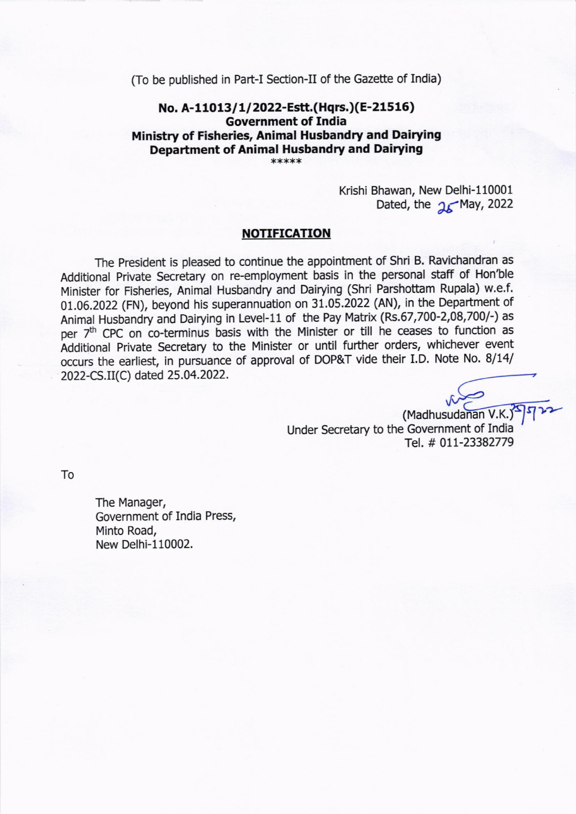(To be published in Part-I Section-Il of the Gazette of India)

## No. A-11013/1/2022-Estt.(Hqrs.)(E-21516) Government of India Ministry of Fisheries, Animal Husbandry and Dairying Department of Animal Husbandry and Dairying

Krishi Bhawan, New Delhi-l10001

Dated, the  $25$ May, 2022

### NOTIFICATION

The President is pleased to continue the appointment of shri B. Ravichandran as Additional Private Secretary on re-employment basis in the personal staff of Hon'ble Minister for Fisheries, Animal Husbandry and Dairying (Shri Parshottam Rupala) w.e.f. 01.06.2022 (FN), beyond his superannuation on 31.05.2022 (AN), in the Department of Animal Husbandry and Dairying in Level-11 of the Pay Matrix (Rs.67,700-2,08,700/-) as per 7<sup>th</sup> CPC on co-terminus basis with the Minister or till he ceases to function as Additional Private Secretary to the Minister or until further orders, whichever event occurs the earliest, in pursuance of approval of DOP&T vide their I.D. Note No. 8/14/ 2022-CS. il(C) dated 2s.04.2022.

> (Madhusudanan V.K.) Under Secretary to the Government of India Tel. # 011-23382779

To

The Manager, Government of India Press, Minto Road, New Delhi-110002.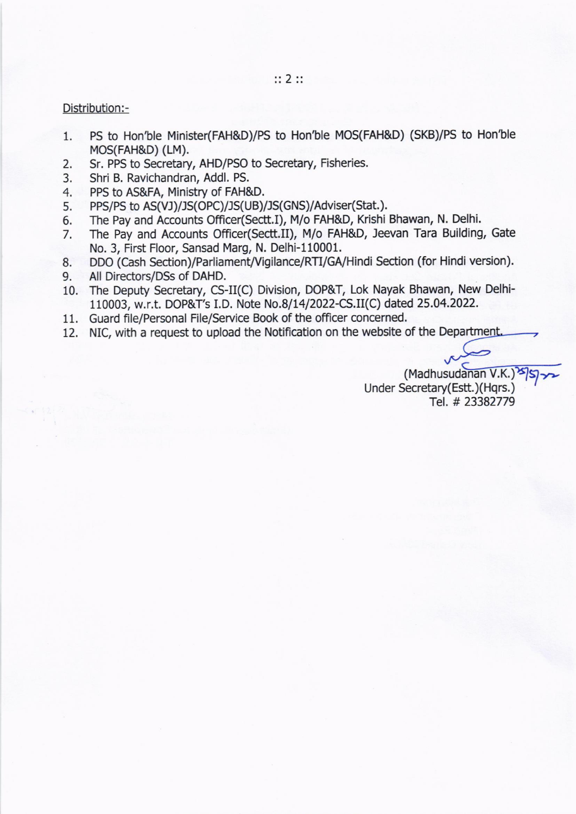#### Distribution:-

- 1 PS to Hon'ble Minister(FAH&D)/PS to Hon'ble MOS(FAH&D) (SKB)/PS to Hon'ble MOS(FAH&D) (LM).
- 2. Sr. PPS to Secretary, AHD/PSO to Secretary, Fisheries.
- 3. Shri B. Ravichandran, Addl. PS,
- 4 PPS to AS&FA, Ministry of FAH&D.
- 5 PPS/PS to AS(VJ)/JS(OPC)/JS(UB)/JS(GNS)/Adviser(Stat.).
- 6. The Pay and Accounts Office(Sectt.I), M/o FAH&D, Krishi Bhawan, N. Delhi.
- 7 The Pay and Accounts Officer(Sectt.il), M/o FAH&D, Jeevan Tara Building, Gate No. 3, First Floor, Sansad Marg, N. Delhi-l10001.
- 8. DDO (Cash Section)/Parliament/Vigilance/RTI/GA/Hindi Section (for Hindi version).
- 9. All Directors/DSs of DAHD.
- 10. The Deputy Secretary, CS-II(C) Division, DOP&T, Lok Nayak Bhawan, New Delhi-110003, w.r.t. DOP&T's I.D. Note No.8/14/2022-CS.II(C) dated 25.04.2022.
- 11. Guard file/Personal File/Service Book of the officer concerned.
- 12. NIC, with a request to upload the Notification on the website of the Department.

 $(Madhusudanan V.K.)$ Under Secretary(Estt.)(Hqrs.) Tel. # 23382779